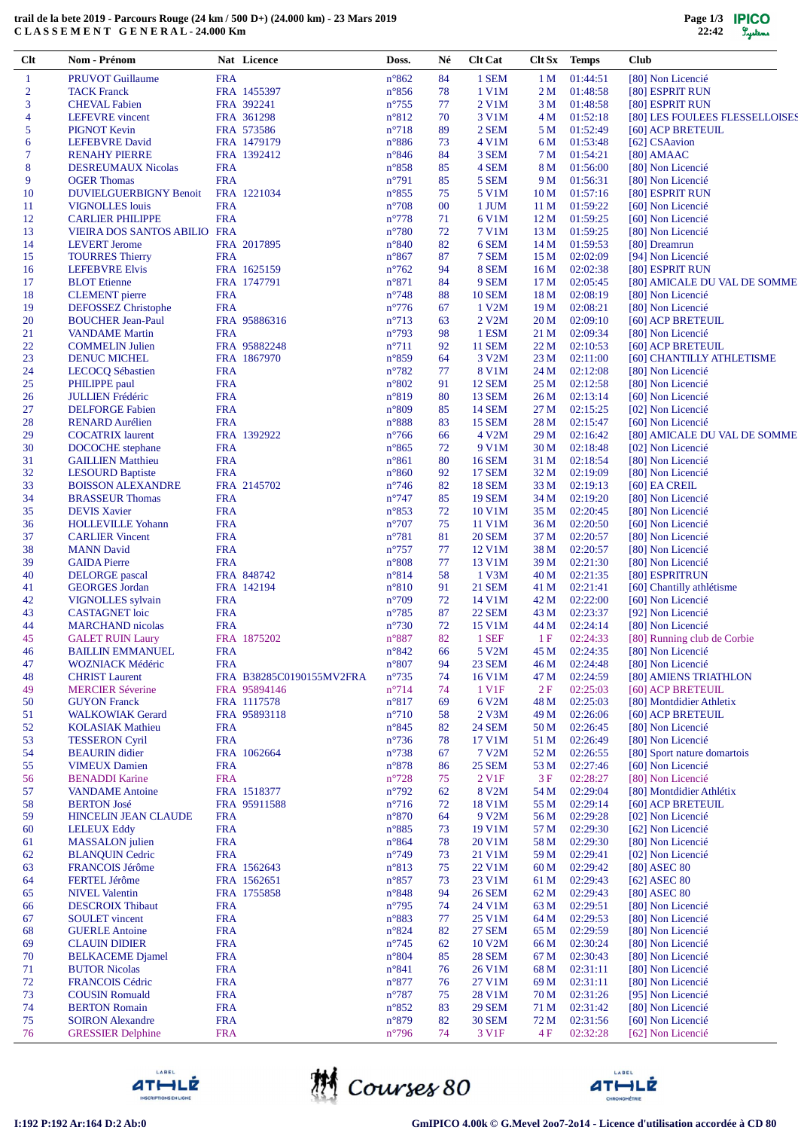## **trail de la bete 2019 - Parcours Rouge (24 km / 500 D+) (24.000 km) - 23 Mars 2019 C L A S S E M E N T G E N E R A L - 24.000 Km**

| Clt            | Nom - Prénom                                      |                          | Nat Licence                 | Doss.                             | Né       | <b>Clt Cat</b>         | Clt Sx                             | <b>Temps</b>         | <b>Club</b>                                   |
|----------------|---------------------------------------------------|--------------------------|-----------------------------|-----------------------------------|----------|------------------------|------------------------------------|----------------------|-----------------------------------------------|
| $\mathbf{1}$   | <b>PRUVOT Guillaume</b>                           | <b>FRA</b>               |                             | $n^{\circ}862$                    | 84       | 1 SEM                  | 1 <sub>M</sub>                     | 01:44:51             | [80] Non Licencié                             |
| $\overline{2}$ | <b>TACK Franck</b>                                |                          | FRA 1455397                 | $n^{\circ}856$                    | 78       | 1 V1M                  | 2 M                                | 01:48:58             | [80] ESPRIT RUN                               |
| 3              | <b>CHEVAL Fabien</b>                              |                          | FRA 392241                  | $n^{\circ}755$                    | 77       | 2 V1M                  | 3 M                                | 01:48:58             | [80] ESPRIT RUN                               |
| $\overline{4}$ | <b>LEFEVRE</b> vincent                            |                          | FRA 361298                  | $n^{\circ}812$                    | 70       | 3 V1M<br>2 SEM         | 4 M                                | 01:52:18             | [80] LES FOULEES FLESSELLOISES                |
| 5<br>6         | <b>PIGNOT Kevin</b><br><b>LEFEBVRE</b> David      |                          | FRA 573586<br>FRA 1479179   | $n^{\circ}718$<br>$n^{\circ}886$  | 89<br>73 | 4 V1M                  | 5 M<br>6 M                         | 01:52:49<br>01:53:48 | [60] ACP BRETEUIL<br>[62] CSAavion            |
| $\tau$         | <b>RENAHY PIERRE</b>                              |                          | FRA 1392412                 | $n^{\circ}846$                    | 84       | 3 SEM                  | 7 M                                | 01:54:21             | $[80]$ AMAAC                                  |
| 8              | <b>DESREUMAUX Nicolas</b>                         | <b>FRA</b>               |                             | $n^{\circ}858$                    | 85       | 4 SEM                  | 8 M                                | 01:56:00             | [80] Non Licencié                             |
| 9              | <b>OGER</b> Thomas                                | <b>FRA</b>               |                             | $n^{\circ}791$                    | 85       | 5 SEM                  | 9 M                                | 01:56:31             | [80] Non Licencié                             |
| 10             | <b>DUVIELGUERBIGNY Benoit</b>                     |                          | FRA 1221034                 | $n^{\circ}855$                    | 75       | 5 V1M                  | 10 <sub>M</sub>                    | 01:57:16             | [80] ESPRIT RUN                               |
| 11             | <b>VIGNOLLES</b> louis                            | <b>FRA</b>               |                             | $n^{\circ}708$                    | 00       | 1 JUM                  | 11 <sub>M</sub>                    | 01:59:22             | [60] Non Licencié                             |
| 12             | <b>CARLIER PHILIPPE</b>                           | <b>FRA</b>               |                             | $n^{\circ}778$                    | 71       | 6 V1M                  | 12 <sub>M</sub>                    | 01:59:25             | [60] Non Licencié                             |
| 13             | VIEIRA DOS SANTOS ABILIO FRA                      |                          |                             | $n^{\circ}780$                    | 72       | 7 V1M                  | 13 M                               | 01:59:25             | [80] Non Licencié                             |
| 14             | <b>LEVERT</b> Jerome                              |                          | FRA 2017895                 | $n^{\circ}840$                    | 82       | 6 SEM                  | 14 M                               | 01:59:53             | [80] Dreamrun                                 |
| 15             | <b>TOURRES Thierry</b><br><b>LEFEBVRE Elvis</b>   | <b>FRA</b>               | FRA 1625159                 | $n^{\circ}867$                    | 87       | 7 SEM<br>8 SEM         | 15 <sub>M</sub>                    | 02:02:09             | [94] Non Licencié<br>[80] ESPRIT RUN          |
| 16<br>17       | <b>BLOT</b> Etienne                               |                          | FRA 1747791                 | $n^{\circ}762$<br>$n^{\circ}871$  | 94<br>84 | 9 SEM                  | 16 <sub>M</sub><br>17 <sub>M</sub> | 02:02:38<br>02:05:45 | [80] AMICALE DU VAL DE SOMME                  |
| 18             | <b>CLEMENT</b> pierre                             | <b>FRA</b>               |                             | $n^{\circ}748$                    | 88       | <b>10 SEM</b>          | 18 <sub>M</sub>                    | 02:08:19             | [80] Non Licencié                             |
| 19             | <b>DEFOSSEZ</b> Christophe                        | <b>FRA</b>               |                             | $n^{\circ}776$                    | 67       | 1 V2M                  | 19 <sub>M</sub>                    | 02:08:21             | [80] Non Licencié                             |
| 20             | <b>BOUCHER Jean-Paul</b>                          |                          | FRA 95886316                | $n^{\circ}713$                    | 63       | 2 V2M                  | 20 <sub>M</sub>                    | 02:09:10             | [60] ACP BRETEUIL                             |
| 21             | <b>VANDAME</b> Martin                             | <b>FRA</b>               |                             | $n^{\circ}793$                    | 98       | 1 ESM                  | 21 M                               | 02:09:34             | [80] Non Licencié                             |
| 22             | <b>COMMELIN Julien</b>                            |                          | FRA 95882248                | $n^{\circ}711$                    | 92       | <b>11 SEM</b>          | 22 M                               | 02:10:53             | [60] ACP BRETEUIL                             |
| 23             | DENUC MICHEL                                      |                          | FRA 1867970                 | $n^{\circ}859$                    | 64       | 3 V2M                  | 23 M                               | 02:11:00             | [60] CHANTILLY ATHLETISME                     |
| 24             | <b>LECOCO Sébastien</b>                           | <b>FRA</b>               |                             | $n^{\circ}782$                    | 77       | 8 V1M                  | 24 M                               | 02:12:08             | [80] Non Licencié                             |
| 25             | PHILIPPE paul                                     | <b>FRA</b>               |                             | $n^{\circ}802$                    | 91       | <b>12 SEM</b>          | 25 M                               | 02:12:58             | [80] Non Licencié                             |
| 26             | <b>JULLIEN Frédéric</b>                           | <b>FRA</b>               |                             | n°819                             | 80       | <b>13 SEM</b>          | 26 M                               | 02:13:14             | [60] Non Licencié                             |
| 27             | <b>DELFORGE Fabien</b>                            | <b>FRA</b>               |                             | $n^{\circ}809$                    | 85       | <b>14 SEM</b>          | 27 M                               | 02:15:25             | [02] Non Licencié<br>[60] Non Licencié        |
| 28<br>29       | <b>RENARD</b> Aurélien<br><b>COCATRIX</b> laurent | <b>FRA</b>               | FRA 1392922                 | $n^{\circ}888$<br>$n^{\circ}$ 766 | 83<br>66 | <b>15 SEM</b><br>4 V2M | 28 M<br>29 M                       | 02:15:47<br>02:16:42 | [80] AMICALE DU VAL DE SOMME                  |
| 30             | <b>DOCOCHE</b> stephane                           | <b>FRA</b>               |                             | $n^{\circ}865$                    | 72       | 9 V1M                  | 30 <sub>M</sub>                    | 02:18:48             | [02] Non Licencié                             |
| 31             | <b>GAILLIEN Matthieu</b>                          | <b>FRA</b>               |                             | $n^{\circ}861$                    | 80       | <b>16 SEM</b>          | 31 M                               | 02:18:54             | [80] Non Licencié                             |
| 32             | <b>LESOURD Baptiste</b>                           | <b>FRA</b>               |                             | $n^{\circ}860$                    | 92       | <b>17 SEM</b>          | 32 M                               | 02:19:09             | [80] Non Licencié                             |
| 33             | <b>BOISSON ALEXANDRE</b>                          |                          | FRA 2145702                 | $n^{\circ}$ 746                   | 82       | <b>18 SEM</b>          | 33 M                               | 02:19:13             | $[60]$ EA CREIL                               |
| 34             | <b>BRASSEUR Thomas</b>                            | <b>FRA</b>               |                             | $n^{\circ}747$                    | 85       | <b>19 SEM</b>          | 34 M                               | 02:19:20             | [80] Non Licencié                             |
| 35             | <b>DEVIS Xavier</b>                               | <b>FRA</b>               |                             | $n^{\circ}853$                    | 72       | 10 V1M                 | 35 M                               | 02:20:45             | [80] Non Licencié                             |
| 36             | <b>HOLLEVILLE Yohann</b>                          | <b>FRA</b>               |                             | $n^{\circ}707$                    | 75       | 11 V1M                 | 36 M                               | 02:20:50             | [60] Non Licencié                             |
| 37             | <b>CARLIER Vincent</b>                            | <b>FRA</b>               |                             | $n^{\circ}781$                    | 81       | <b>20 SEM</b>          | 37 M                               | 02:20:57             | [80] Non Licencié                             |
| 38             | <b>MANN</b> David                                 | <b>FRA</b>               |                             | $n^{\circ}757$                    | 77       | 12 V1M                 | 38 M                               | 02:20:57             | [80] Non Licencié                             |
| 39<br>40       | <b>GAIDA</b> Pierre<br><b>DELORGE</b> pascal      | <b>FRA</b>               | FRA 848742                  | $n^{\circ}808$<br>$n^{\circ}814$  | 77<br>58 | 13 V1M<br>$1$ V3M      | 39 M<br>40 M                       | 02:21:30<br>02:21:35 | [80] Non Licencié<br>[80] ESPRITRUN           |
| 41             | <b>GEORGES</b> Jordan                             |                          | FRA 142194                  | $n^{\circ}810$                    | 91       | <b>21 SEM</b>          | 41 M                               | 02:21:41             | [60] Chantilly athlétisme                     |
| 42             | <b>VIGNOLLES</b> sylvain                          | <b>FRA</b>               |                             | $n^{\circ}709$                    | 72       | 14 V1M                 | 42 M                               | 02:22:00             | [60] Non Licencié                             |
| 43             | <b>CASTAGNET</b> loic                             | <b>FRA</b>               |                             | $n^{\circ}785$                    | 87       | <b>22 SEM</b>          | 43 M                               | 02:23:37             | [92] Non Licencié                             |
| 44             | <b>MARCHAND</b> nicolas                           | <b>FRA</b>               |                             | $n^{\circ}730$                    | 72       | 15 V1M                 | 44 M                               | 02:24:14             | [80] Non Licencié                             |
| 45             | <b>GALET RUIN Laury</b>                           |                          | FRA 1875202                 | $n^{\circ}887$                    | 82       | 1 SEF                  | 1F                                 | 02:24:33             | [80] Running club de Corbie                   |
| 46             | <b>BAILLIN EMMANUEL</b>                           | <b>FRA</b>               |                             | $n^{\circ}842$                    | 66       | 5 V2M                  |                                    | 45 M 02:24:35        | [80] Non Licencié                             |
| 47             | <b>WOZNIACK Médéric</b>                           | <b>FRA</b>               |                             | $n^{\circ}807$                    | 94       | <b>23 SEM</b>          | 46 M                               | 02:24:48             | [80] Non Licencié                             |
| 48             | <b>CHRIST</b> Laurent                             |                          | FRA B38285C0190155MV2FRA    | $n^{\circ}735$                    | 74       | 16 V1M                 | 47 M                               | 02:24:59             | [80] AMIENS TRIATHLON                         |
| 49             | <b>MERCIER Séverine</b>                           |                          | FRA 95894146                | $n^{\circ}$ 714                   | 74       | 1 V1F                  | 2F                                 | 02:25:03             | [60] ACP BRETEUIL                             |
| 50<br>51       | <b>GUYON</b> Franck<br><b>WALKOWIAK Gerard</b>    |                          | FRA 1117578<br>FRA 95893118 | n°817<br>$n^{\circ}710$           | 69<br>58 | 6 V2M<br>2 V3M         | 48 M<br>49 M                       | 02:25:03<br>02:26:06 | [80] Montdidier Athletix<br>[60] ACP BRETEUIL |
| 52             | <b>KOLASIAK Mathieu</b>                           | <b>FRA</b>               |                             | $n^{\circ}845$                    | 82       | <b>24 SEM</b>          | 50 M                               | 02:26:45             | [80] Non Licencié                             |
| 53             | <b>TESSERON Cyril</b>                             | <b>FRA</b>               |                             | $n^{\circ}$ 736                   | 78       | 17 V1M                 | 51 M                               | 02:26:49             | [80] Non Licencié                             |
| 54             | <b>BEAURIN</b> didier                             |                          | FRA 1062664                 | $n^{\circ}738$                    | 67       | 7 V2M                  | 52 M                               | 02:26:55             | [80] Sport nature domartois                   |
| 55             | <b>VIMEUX Damien</b>                              | <b>FRA</b>               |                             | $n^{\circ}878$                    | 86       | <b>25 SEM</b>          | 53 M                               | 02:27:46             | [60] Non Licencié                             |
| 56             | <b>BENADDI Karine</b>                             | <b>FRA</b>               |                             | $n^{\circ}728$                    | 75       | 2 V <sub>1F</sub>      | 3F                                 | 02:28:27             | [80] Non Licencié                             |
| 57             | <b>VANDAME</b> Antoine                            |                          | FRA 1518377                 | $n^{\circ}792$                    | 62       | 8 V2M                  | 54 M                               | 02:29:04             | [80] Montdidier Athlétix                      |
| 58             | <b>BERTON José</b>                                |                          | FRA 95911588                | $n^{\circ}716$                    | 72       | 18 V1M                 | 55 M                               | 02:29:14             | [60] ACP BRETEUIL                             |
| 59             | <b>HINCELIN JEAN CLAUDE</b>                       | <b>FRA</b>               |                             | $n^{\circ}870$                    | 64       | 9 V2M                  | 56 M                               | 02:29:28             | [02] Non Licencié                             |
| 60<br>61       | <b>LELEUX Eddy</b><br><b>MASSALON</b> julien      | <b>FRA</b><br><b>FRA</b> |                             | $n^{\circ}885$<br>$n^{\circ}864$  | 73<br>78 | 19 V1M<br>20 V1M       | 57 M<br>58 M                       | 02:29:30<br>02:29:30 | [62] Non Licencié<br>[80] Non Licencié        |
| 62             | <b>BLANQUIN Cedric</b>                            | <b>FRA</b>               |                             | $n^{\circ}749$                    | 73       | 21 V1M                 | 59 M                               | 02:29:41             | [02] Non Licencié                             |
| 63             | FRANCOIS Jérôme                                   |                          | FRA 1562643                 | n°813                             | 75       | 22 V1M                 | 60 <sub>M</sub>                    | 02:29:42             | [80] ASEC 80                                  |
| 64             | <b>FERTEL Jérôme</b>                              |                          | FRA 1562651                 | $n^{\circ}857$                    | 73       | 23 V1M                 | 61 M                               | 02:29:43             | $[62]$ ASEC 80                                |
| 65             | <b>NIVEL Valentin</b>                             |                          | FRA 1755858                 | $n^{\circ}848$                    | 94       | 26 SEM                 | 62 M                               | 02:29:43             | [80] ASEC 80                                  |
| 66             | <b>DESCROIX Thibaut</b>                           | <b>FRA</b>               |                             | $n^{\circ}$ 795                   | 74       | 24 V1M                 | 63 M                               | 02:29:51             | [80] Non Licencié                             |
| 67             | <b>SOULET</b> vincent                             | <b>FRA</b>               |                             | n°883                             | 77       | 25 V1M                 | 64 M                               | 02:29:53             | [80] Non Licencié                             |
| 68             | <b>GUERLE Antoine</b>                             | <b>FRA</b>               |                             | $n^{\circ}824$                    | 82       | <b>27 SEM</b>          | 65 M                               | 02:29:59             | [80] Non Licencié                             |
| 69             | <b>CLAUIN DIDIER</b>                              | <b>FRA</b>               |                             | $n^{\circ}745$                    | 62       | 10 V2M                 | 66 M                               | 02:30:24             | [80] Non Licencié                             |
| 70             | <b>BELKACEME</b> Djamel                           | <b>FRA</b>               |                             | $n^{\circ}804$                    | 85       | 28 SEM                 | 67 M                               | 02:30:43             | [80] Non Licencié                             |
| 71             | <b>BUTOR Nicolas</b>                              | <b>FRA</b><br><b>FRA</b> |                             | $n^{\circ}841$<br>$n^{\circ}877$  | 76       | 26 V1M                 | 68 M                               | 02:31:11<br>02:31:11 | [80] Non Licencié<br>[80] Non Licencié        |
| 72<br>73       | <b>FRANCOIS Cédric</b><br><b>COUSIN Romuald</b>   | <b>FRA</b>               |                             | $n^{\circ}787$                    | 76<br>75 | 27 V1M<br>28 V1M       | 69 M<br>70 M                       | 02:31:26             | [95] Non Licencié                             |
| 74             | <b>BERTON Romain</b>                              | <b>FRA</b>               |                             | $n^{\circ}852$                    | 83       | 29 SEM                 | 71 M                               | 02:31:42             | [80] Non Licencié                             |
| 75             | <b>SOIRON</b> Alexandre                           | <b>FRA</b>               |                             | $n^{\circ}879$                    | 82       | <b>30 SEM</b>          | 72 M                               | 02:31:56             | [60] Non Licencié                             |
| 76             | <b>GRESSIER Delphine</b>                          | <b>FRA</b>               |                             | $n^{\circ}$ 796                   | 74       | 3 V1F                  | 4 F                                | 02:32:28             | [62] Non Licencié                             |





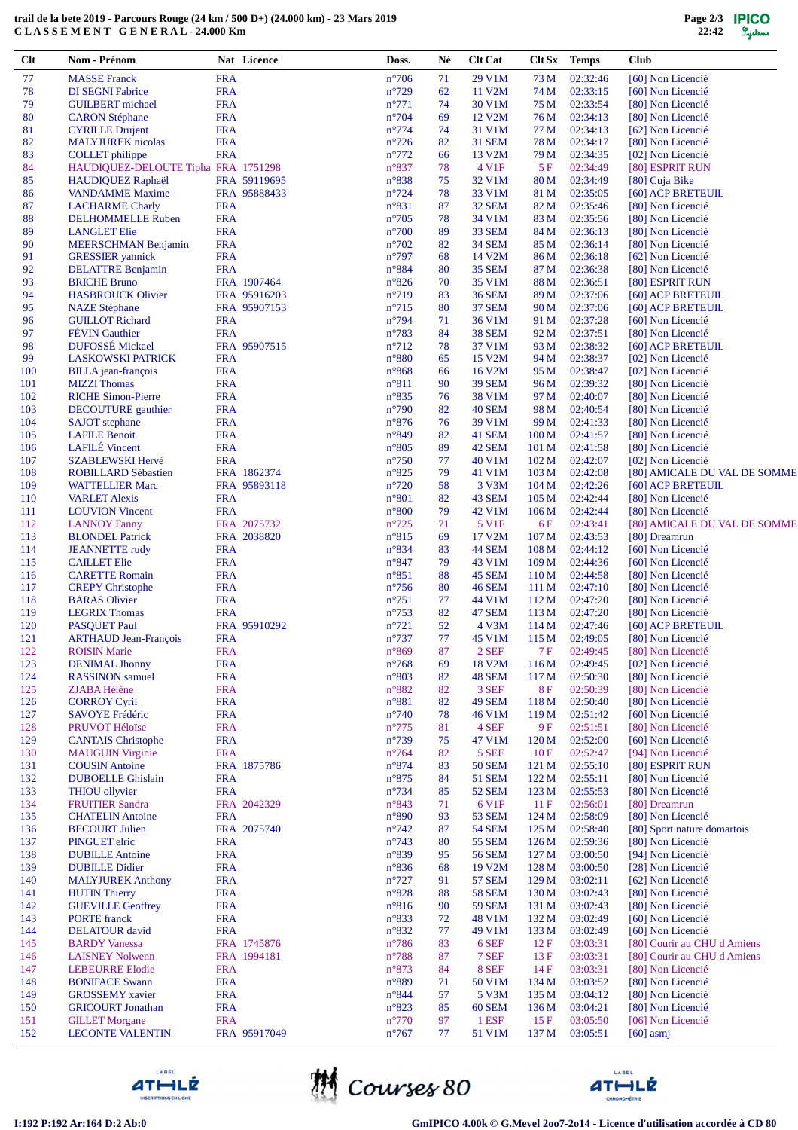## **trail de la bete 2019 - Parcours Rouge (24 km / 500 D+) (24.000 km) - 23 Mars 2019 C L A S S E M E N T G E N E R A L - 24.000 Km**

| Clt        | Nom - Prénom                                      |                          | Nat Licence  | Doss.                            | Né       | <b>Clt Cat</b>         | $C$ It $Sx$             | <b>Temps</b>         | <b>Club</b>                            |
|------------|---------------------------------------------------|--------------------------|--------------|----------------------------------|----------|------------------------|-------------------------|----------------------|----------------------------------------|
| 77         | <b>MASSE Franck</b>                               | <b>FRA</b>               |              | $n^{\circ}706$                   | 71       | 29 V1M                 | 73 M                    | 02:32:46             | [60] Non Licencié                      |
| 78         | <b>DI SEGNI Fabrice</b>                           | <b>FRA</b>               |              | $n^{\circ}729$                   | 62       | 11 V2M                 | 74 M                    | 02:33:15             | [60] Non Licencié                      |
| 79         | <b>GUILBERT</b> michael                           | <b>FRA</b>               |              | $n^{\circ}771$                   | 74       | 30 V1M                 | 75 M                    | 02:33:54             | [80] Non Licencié                      |
| 80         | <b>CARON</b> Stéphane                             | <b>FRA</b>               |              | $n^{\circ}704$                   | 69       | 12 V2M                 | 76 M                    | 02:34:13             | [80] Non Licencié                      |
| 81         | <b>CYRILLE Drujent</b>                            | <b>FRA</b>               |              | $n^{\circ}774$                   | 74       | 31 V1M                 | 77 M                    | 02:34:13             | [62] Non Licencié                      |
| 82         | <b>MALYJUREK</b> nicolas                          | <b>FRA</b>               |              | $n^{\circ}$ 726                  | 82       | <b>31 SEM</b>          | 78 M                    | 02:34:17             | [80] Non Licencié                      |
| 83         | <b>COLLET</b> philippe                            | <b>FRA</b>               |              | $n^{\circ}772$                   | 66       | 13 V <sub>2</sub> M    | 79 M                    | 02:34:35             | [02] Non Licencié                      |
| 84         | HAUDIQUEZ-DELOUTE Tipha FRA 1751298               |                          |              | $n^{\circ}837$                   | 78       | 4 V1F                  | 5F                      | 02:34:49             | [80] ESPRIT RUN                        |
| 85         | HAUDIQUEZ Raphaël                                 |                          | FRA 59119695 | $n^{\circ}838$                   | 75       | 32 V1M                 | 80 M                    | 02:34:49             | [80] Cuja Bike                         |
| 86         | <b>VANDAMME</b> Maxime                            |                          | FRA 95888433 | $n^{\circ}$ 724                  | 78       | 33 V1M                 | 81 M                    | 02:35:05             | [60] ACP BRETEUIL                      |
| 87         | <b>LACHARME Charly</b>                            | <b>FRA</b>               |              | $n^{\circ}831$                   | 87       | <b>32 SEM</b>          | 82 M                    | 02:35:46             | [80] Non Licencié                      |
| 88         | <b>DELHOMMELLE Ruben</b>                          | <b>FRA</b>               |              | $n^{\circ}705$                   | 78       | 34 V1M                 | 83 M                    | 02:35:56             | [80] Non Licencié                      |
| 89         | <b>LANGLET Elie</b>                               | <b>FRA</b>               |              | $n^{\circ}700$                   | 89       | <b>33 SEM</b>          | 84 M                    | 02:36:13             | [80] Non Licencié                      |
| 90         | <b>MEERSCHMAN Benjamin</b>                        | <b>FRA</b>               |              | $n^{\circ}702$                   | 82       | <b>34 SEM</b>          | 85 M                    | 02:36:14             | [80] Non Licencié                      |
| 91         | <b>GRESSIER</b> yannick                           | <b>FRA</b>               |              | $n^{\circ}797$                   | 68       | 14 V2M                 | 86 M                    | 02:36:18             | [62] Non Licencié                      |
| 92         | <b>DELATTRE Benjamin</b>                          | <b>FRA</b>               |              | $n^{\circ}884$                   | 80       | <b>35 SEM</b>          | 87 M                    | 02:36:38             | [80] Non Licencié                      |
| 93         | <b>BRICHE Bruno</b>                               |                          | FRA 1907464  | $n^{\circ}826$                   | 70       | 35 V1M                 | 88 M                    | 02:36:51             | [80] ESPRIT RUN                        |
| 94         | <b>HASBROUCK Olivier</b>                          |                          | FRA 95916203 | $n^{\circ}719$                   | 83       | <b>36 SEM</b>          | 89 M                    | 02:37:06             | [60] ACP BRETEUIL                      |
| 95         | <b>NAZE</b> Stéphane                              |                          | FRA 95907153 | $n^{\circ}715$                   | 80       | <b>37 SEM</b>          | 90 M                    | 02:37:06             | [60] ACP BRETEUIL                      |
| 96         | <b>GUILLOT Richard</b>                            | <b>FRA</b>               |              | $n^{\circ}$ 794                  | 71       | 36 V1M                 | 91 M                    | 02:37:28             | [60] Non Licencié                      |
| 97         | <b>FÉVIN</b> Gauthier                             | <b>FRA</b>               |              | $n^{\circ}783$                   | 84       | <b>38 SEM</b>          | 92 M                    | 02:37:51             | [80] Non Licencié                      |
| 98         | DUFOSSÉ Mickael                                   |                          | FRA 95907515 | $n^{\circ}712$                   | 78       | 37 V1M                 | 93 M                    | 02:38:32             | [60] ACP BRETEUIL                      |
| 99         | <b>LASKOWSKI PATRICK</b>                          | <b>FRA</b>               |              | $n^{\circ}880$                   | 65       | 15 V2M                 | 94 M                    | 02:38:37             | [02] Non Licencié                      |
| 100        | <b>BILLA</b> jean-françois                        | <b>FRA</b>               |              | $n^{\circ}868$                   | 66       | 16 V2M                 | 95 M                    | 02:38:47             | [02] Non Licencié                      |
| 101        | <b>MIZZI</b> Thomas                               | <b>FRA</b>               |              | $n^{\circ}811$                   | 90       | <b>39 SEM</b>          | 96 M                    | 02:39:32             | [80] Non Licencié                      |
| 102        | <b>RICHE Simon-Pierre</b>                         | <b>FRA</b>               |              | $n^{\circ}835$                   | 76       | 38 V1M                 | 97 M                    | 02:40:07             | [80] Non Licencié                      |
| 103        | DECOUTURE gauthier                                | <b>FRA</b>               |              | $n^{\circ}790$                   | 82       | 40 SEM                 | 98 M                    | 02:40:54             | [80] Non Licencié                      |
| 104        | <b>SAJOT</b> stephane                             | <b>FRA</b>               |              | $n^{\circ}876$                   | 76       | 39 V1M                 | 99 M                    | 02:41:33             | [80] Non Licencié                      |
| 105        | <b>LAFILE Benoit</b>                              | <b>FRA</b>               |              | $n^{\circ}849$                   | 82       | 41 SEM                 | 100 <sub>M</sub>        | 02:41:57             | [80] Non Licencié                      |
| 106        | <b>LAFILÉ</b> Vincent                             | <b>FRA</b>               |              | $n^{\circ}805$                   | 89       | 42 SEM                 | 101 M                   | 02:41:58             | [80] Non Licencié                      |
| 107        | <b>SZABLEWSKI Hervé</b>                           | <b>FRA</b>               |              | $n^{\circ}750$                   | 77       | 40 V1M                 | 102 <sub>M</sub>        | 02:42:07             | [02] Non Licencié                      |
| 108        | ROBILLARD Sébastien                               |                          | FRA 1862374  | $n^{\circ}825$                   | 79       | 41 V1M                 | 103 <sub>M</sub>        | 02:42:08             | [80] AMICALE DU VAL DE SOMME           |
| 109        | <b>WATTELLIER Marc</b>                            |                          | FRA 95893118 | $n^{\circ}720$                   | 58       | 3 V3M                  | 104 <sub>M</sub>        | 02:42:26             | [60] ACP BRETEUIL                      |
| 110        | <b>VARLET Alexis</b>                              | <b>FRA</b>               |              | $n^{\circ}801$                   | 82       | 43 SEM                 | 105 <sub>M</sub>        | 02:42:44             | [80] Non Licencié                      |
| 111        | <b>LOUVION</b> Vincent                            | <b>FRA</b>               |              | $n^{\circ}800$                   | 79       | 42 V1M                 | 106 <sub>M</sub>        | 02:42:44             | [80] Non Licencié                      |
| 112        | <b>LANNOY Fanny</b>                               |                          | FRA 2075732  | $n^{\circ}725$                   | 71       | 5 V1F                  | 6 F                     | 02:43:41             | [80] AMICALE DU VAL DE SOMME           |
| 113        | <b>BLONDEL Patrick</b>                            |                          | FRA 2038820  | $n^{\circ}815$                   | 69       | 17 V2M                 | 107 <sub>M</sub>        | 02:43:53             | [80] Dreamrun                          |
| 114        | <b>JEANNETTE</b> rudy                             | <b>FRA</b>               |              | $n^{\circ}834$                   | 83       | <b>44 SEM</b>          | 108 M                   | 02:44:12             | [60] Non Licencié                      |
| 115        | <b>CAILLET Elie</b>                               | <b>FRA</b>               |              | $n^{\circ}847$                   | 79       | 43 V1M                 | 109 <sub>M</sub>        | 02:44:36             | [60] Non Licencié                      |
| 116        | <b>CARETTE Romain</b>                             | <b>FRA</b>               |              | $n^{\circ}851$                   | 88       | 45 SEM                 | 110 <sub>M</sub>        | 02:44:58             | [80] Non Licencié                      |
| 117        | <b>CREPY Christophe</b>                           | <b>FRA</b>               |              | $n^{\circ}756$                   | 80       | <b>46 SEM</b>          | 111 M                   | 02:47:10             | [80] Non Licencié                      |
| 118        | <b>BARAS</b> Olivier                              | <b>FRA</b>               |              | $n^{\circ}751$                   | 77       | 44 V1M                 | 112M                    | 02:47:20             | [80] Non Licencié                      |
| 119        | <b>LEGRIX Thomas</b>                              | <b>FRA</b>               |              | $n^{\circ}753$                   | 82       | 47 SEM                 | 113M                    | 02:47:20             | [80] Non Licencié                      |
| 120        | PASQUET Paul                                      |                          | FRA 95910292 | $n^{\circ}721$                   | 52       | 4 V3M                  | 114M                    | 02:47:46             | [60] ACP BRETEUIL                      |
| 121        | <b>ARTHAUD Jean-François</b>                      | <b>FRA</b>               |              | $n^{\circ}737$                   | 77       | 45 V1M                 | 115 <sub>M</sub>        | 02:49:05             | [80] Non Licencié                      |
| 122        | <b>ROISIN Marie</b>                               | <b>FRA</b>               |              | $n^{\circ}869$                   | 87       | $2\,\mathrm{SEF}$      | 7F                      | 02:49:45             | [80] Non Licencié                      |
| 123        | <b>DENIMAL Jhonny</b>                             | <b>FRA</b>               |              | $n^{\circ}768$                   | 69       | 18 V2M                 | 116M                    | 02:49:45             | [02] Non Licencié                      |
| 124        | <b>RASSINON</b> samuel                            | <b>FRA</b>               |              | $n^{\circ}803$                   | 82       | 48 SEM                 | 117 <sub>M</sub>        | 02:50:30             | [80] Non Licencié                      |
| 125        | ZJABA Hélène                                      | <b>FRA</b>               |              | n°882                            | 82       | 3 SEF                  | <b>8F</b>               | 02:50:39             | [80] Non Licencié                      |
| 126        | <b>CORROY Cyril</b>                               | <b>FRA</b>               |              | $n^{\circ}881$                   | 82       | <b>49 SEM</b>          | 118 <sub>M</sub>        | 02:50:40             | [80] Non Licencié                      |
| 127        | <b>SAVOYE Frédéric</b>                            | <b>FRA</b>               |              | $n^{\circ}740$                   | 78       | 46 V1M                 | 119 <sub>M</sub>        | 02:51:42             | [60] Non Licencié                      |
| 128        | PRUVOT Héloïse                                    | <b>FRA</b>               |              | $n^{\circ}775$                   | 81       | 4 SEF                  | 9 F                     | 02:51:51             | [80] Non Licencié                      |
| 129        | <b>CANTAIS</b> Christophe                         | <b>FRA</b>               |              | $n^{\circ}739$                   | 75       | 47 V1M                 | 120 M                   | 02:52:00             | [60] Non Licencié                      |
| 130        | <b>MAUGUIN</b> Virginie                           | <b>FRA</b>               |              | $n^{\circ}764$                   | 82       | 5 SEF                  | 10F                     | 02:52:47             | [94] Non Licencié                      |
| 131        | <b>COUSIN</b> Antoine                             |                          | FRA 1875786  | $n^{\circ}874$                   | 83       | <b>50 SEM</b>          | 121 M                   | 02:55:10             | [80] ESPRIT RUN                        |
| 132        | <b>DUBOELLE</b> Ghislain                          | <b>FRA</b>               |              | $n^{\circ}875$                   | 84       | <b>51 SEM</b>          | 122 M                   | 02:55:11             | [80] Non Licencié                      |
| 133        | <b>THIOU</b> ollyvier                             | <b>FRA</b>               |              | $n^{\circ}734$                   | 85       | <b>52 SEM</b>          | 123 M                   | 02:55:53             | [80] Non Licencié                      |
| 134        | <b>FRUITIER Sandra</b>                            |                          | FRA 2042329  | $n^{\circ}843$                   | 71       | 6 V1F                  | 11F                     | 02:56:01             | [80] Dreamrun                          |
| 135        | <b>CHATELIN Antoine</b>                           | <b>FRA</b>               |              | $n^{\circ}890$                   | 93       | <b>53 SEM</b>          | 124 M                   | 02:58:09             | [80] Non Licencié                      |
| 136        | <b>BECOURT</b> Julien                             |                          | FRA 2075740  | $n^{\circ}742$                   | 87       | <b>54 SEM</b>          | 125 M                   | 02:58:40             | [80] Sport nature domartois            |
| 137        | PINGUET elric                                     | <b>FRA</b>               |              | $n^{\circ}743$                   | 80       | <b>55 SEM</b>          | 126 <sub>M</sub>        | 02:59:36             | [80] Non Licencié                      |
| 138        | <b>DUBILLE</b> Antoine                            | <b>FRA</b>               |              | $n^{\circ}839$                   | 95       | <b>56 SEM</b>          | 127 M                   | 03:00:50             | [94] Non Licencié                      |
| 139        | <b>DUBILLE Didier</b>                             | <b>FRA</b>               |              | $n^{\circ}836$                   | 68       | 19 V2M                 | 128 M                   | 03:00:50             | [28] Non Licencié                      |
| 140        | <b>MALYJUREK Anthony</b>                          | <b>FRA</b>               |              | $n^{\circ}727$                   | 91       | <b>57 SEM</b>          | 129 <sub>M</sub>        | 03:02:11             | [62] Non Licencié                      |
| 141        | <b>HUTIN</b> Thierry                              | <b>FRA</b>               |              | $n^{\circ}828$                   | 88       | <b>58 SEM</b>          | 130 M                   | 03:02:43             | [80] Non Licencié                      |
| 142        | <b>GUEVILLE Geoffrey</b>                          | <b>FRA</b>               |              | $n^{\circ}816$                   | 90       | <b>59 SEM</b>          | 131 M                   | 03:02:43             | [80] Non Licencié                      |
| 143<br>144 | <b>PORTE</b> franck                               | <b>FRA</b><br><b>FRA</b> |              | n°833<br>$n^{\circ}832$          | 72       | 48 V1M<br>49 V1M       | 132 M                   | 03:02:49             | [60] Non Licencié<br>[60] Non Licencié |
|            | <b>DELATOUR</b> david                             |                          |              | $n^{\circ}786$                   | 77       |                        | 133 M                   | 03:02:49             |                                        |
| 145        | <b>BARDY</b> Vanessa                              |                          | FRA 1745876  |                                  | 83       | 6 SEF                  | 12 F                    | 03:03:31             | [80] Courir au CHU d Amiens            |
| 146        | <b>LAISNEY Nolwenn</b>                            |                          | FRA 1994181  | $n^{\circ}788$                   | 87       | 7 SEF                  | 13F                     | 03:03:31             | [80] Courir au CHU d Amiens            |
| 147        | <b>LEBEURRE Elodie</b>                            | <b>FRA</b>               |              | $n^{\circ}873$                   | 84       | 8 SEF                  | 14F                     | 03:03:31             | [80] Non Licencié                      |
| 148        | <b>BONIFACE Swann</b>                             | <b>FRA</b>               |              | $n^{\circ}889$                   | 71       | 50 V1M                 | 134 M                   | 03:03:52             | [80] Non Licencié                      |
| 149        | <b>GROSSEMY</b> xavier                            | <b>FRA</b><br><b>FRA</b> |              | $n^{\circ}844$                   | 57       | 5 V3M                  | 135 M                   | 03:04:12             | [80] Non Licencié<br>[80] Non Licencié |
| 150<br>151 | <b>GRICOURT Jonathan</b><br><b>GILLET</b> Morgane | <b>FRA</b>               |              | $n^{\circ}823$<br>$n^{\circ}770$ | 85<br>97 | <b>60 SEM</b><br>1 ESF | 136 <sub>M</sub><br>15F | 03:04:21<br>03:05:50 | [06] Non Licencié                      |
| 152        | <b>LECONTE VALENTIN</b>                           |                          | FRA 95917049 | $n^{\circ}767$                   | 77       | 51 V1M                 | 137 M                   | 03:05:51             | $[60]$ asmj                            |
|            |                                                   |                          |              |                                  |          |                        |                         |                      |                                        |